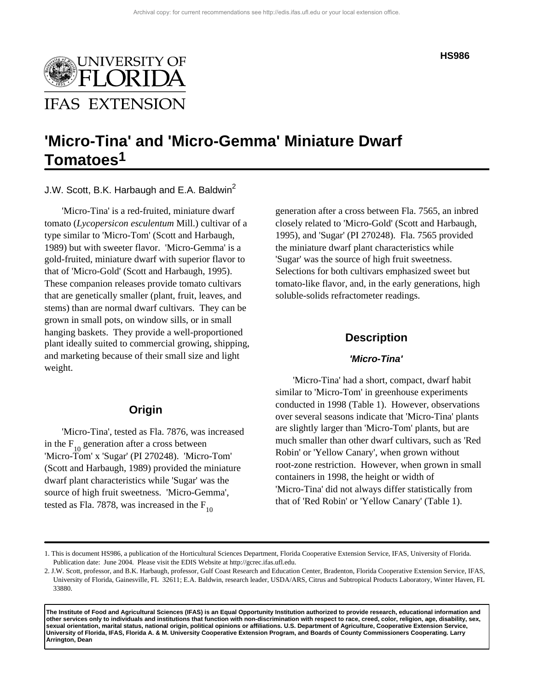

#### **HS986**

# **'Micro-Tina' and 'Micro-Gemma' Miniature Dwarf Tomatoes1**

J.W. Scott, B.K. Harbaugh and E.A. Baldwin<sup>2</sup>

'Micro-Tina' is a red-fruited, miniature dwarf tomato (*Lycopersicon esculentum* Mill.) cultivar of a type similar to 'Micro-Tom' (Scott and Harbaugh, 1989) but with sweeter flavor. 'Micro-Gemma' is a gold-fruited, miniature dwarf with superior flavor to that of 'Micro-Gold' (Scott and Harbaugh, 1995). These companion releases provide tomato cultivars that are genetically smaller (plant, fruit, leaves, and stems) than are normal dwarf cultivars. They can be grown in small pots, on window sills, or in small hanging baskets. They provide a well-proportioned plant ideally suited to commercial growing, shipping, and marketing because of their small size and light weight.

## **Origin**

'Micro-Tina', tested as Fla. 7876, was increased in the  $F_{10}$  generation after a cross between 'Micro-Tom' x 'Sugar' (PI 270248). 'Micro-Tom' (Scott and Harbaugh, 1989) provided the miniature dwarf plant characteristics while 'Sugar' was the source of high fruit sweetness. 'Micro-Gemma', tested as Fla. 7878, was increased in the  $F_{10}$ 

generation after a cross between Fla. 7565, an inbred closely related to 'Micro-Gold' (Scott and Harbaugh, 1995), and 'Sugar' (PI 270248). Fla. 7565 provided the miniature dwarf plant characteristics while 'Sugar' was the source of high fruit sweetness. Selections for both cultivars emphasized sweet but tomato-like flavor, and, in the early generations, high soluble-solids refractometer readings.

## **Description**

#### **'Micro-Tina'**

'Micro-Tina' had a short, compact, dwarf habit similar to 'Micro-Tom' in greenhouse experiments conducted in 1998 (Table 1). However, observations over several seasons indicate that 'Micro-Tina' plants are slightly larger than 'Micro-Tom' plants, but are much smaller than other dwarf cultivars, such as 'Red Robin' or 'Yellow Canary', when grown without root-zone restriction. However, when grown in small containers in 1998, the height or width of 'Micro-Tina' did not always differ statistically from that of 'Red Robin' or 'Yellow Canary' (Table 1).

**The Institute of Food and Agricultural Sciences (IFAS) is an Equal Opportunity Institution authorized to provide research, educational information and other services only to individuals and institutions that function with non-discrimination with respect to race, creed, color, religion, age, disability, sex, sexual orientation, marital status, national origin, political opinions or affiliations. U.S. Department of Agriculture, Cooperative Extension Service, University of Florida, IFAS, Florida A. & M. University Cooperative Extension Program, and Boards of County Commissioners Cooperating. Larry Arrington, Dean**

<sup>1.</sup> This is document HS986, a publication of the Horticultural Sciences Department, Florida Cooperative Extension Service, IFAS, University of Florida. Publication date: June 2004. Please visit the EDIS Website at http://gcrec.ifas.ufl.edu.

<sup>2.</sup> J.W. Scott, professor, and B.K. Harbaugh, professor, Gulf Coast Research and Education Center, Bradenton, Florida Cooperative Extension Service, IFAS, University of Florida, Gainesville, FL 32611; E.A. Baldwin, research leader, USDA/ARS, Citrus and Subtropical Products Laboratory, Winter Haven, FL 33880.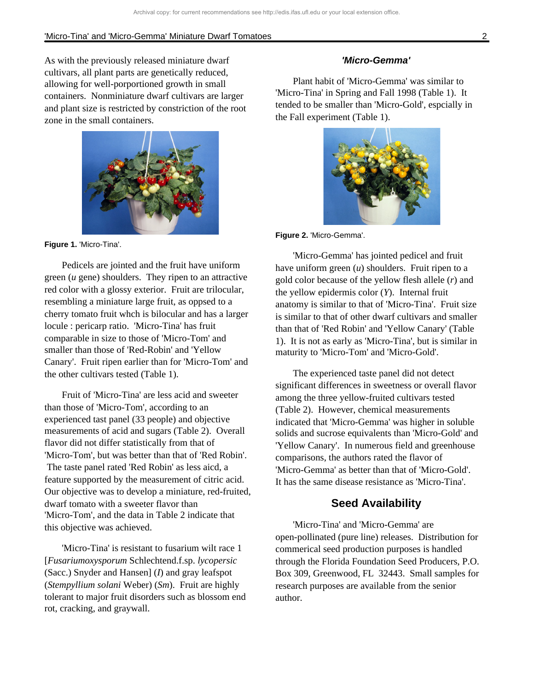As with the previously released miniature dwarf cultivars, all plant parts are genetically reduced, allowing for well-porportioned growth in small containers. Nonminiature dwarf cultivars are larger and plant size is restricted by constriction of the root zone in the small containers.



**Figure 1.** 'Micro-Tina'.

Pedicels are jointed and the fruit have uniform green (*u* gene) shoulders. They ripen to an attractive red color with a glossy exterior. Fruit are trilocular, resembling a miniature large fruit, as oppsed to a cherry tomato fruit whch is bilocular and has a larger locule : pericarp ratio. 'Micro-Tina' has fruit comparable in size to those of 'Micro-Tom' and smaller than those of 'Red-Robin' and 'Yellow Canary'. Fruit ripen earlier than for 'Micro-Tom' and the other cultivars tested (Table 1).

Fruit of 'Micro-Tina' are less acid and sweeter than those of 'Micro-Tom', according to an experienced tast panel (33 people) and objective measurements of acid and sugars (Table 2). Overall flavor did not differ statistically from that of 'Micro-Tom', but was better than that of 'Red Robin'. The taste panel rated 'Red Robin' as less aicd, a feature supported by the measurement of citric acid. Our objective was to develop a miniature, red-fruited, dwarf tomato with a sweeter flavor than 'Micro-Tom', and the data in Table 2 indicate that this objective was achieved.

'Micro-Tina' is resistant to fusarium wilt race 1 [*Fusariumoxysporum* Schlechtend.f.sp. *lycopersic*  (Sacc.) Snyder and Hansen] (*I*) and gray leafspot (*Stempyllium solani* Weber) (*Sm*). Fruit are highly tolerant to major fruit disorders such as blossom end rot, cracking, and graywall.

#### **'Micro-Gemma'**

Plant habit of 'Micro-Gemma' was similar to 'Micro-Tina' in Spring and Fall 1998 (Table 1). It tended to be smaller than 'Micro-Gold', espcially in the Fall experiment (Table 1).



**Figure 2.** 'Micro-Gemma'.

'Micro-Gemma' has jointed pedicel and fruit have uniform green (*u*) shoulders. Fruit ripen to a gold color because of the yellow flesh allele (*r*) and the yellow epidermis color (*Y*). Internal fruit anatomy is similar to that of 'Micro-Tina'. Fruit size is similar to that of other dwarf cultivars and smaller than that of 'Red Robin' and 'Yellow Canary' (Table 1). It is not as early as 'Micro-Tina', but is similar in maturity to 'Micro-Tom' and 'Micro-Gold'.

The experienced taste panel did not detect significant differences in sweetness or overall flavor among the three yellow-fruited cultivars tested (Table 2). However, chemical measurements indicated that 'Micro-Gemma' was higher in soluble solids and sucrose equivalents than 'Micro-Gold' and 'Yellow Canary'. In numerous field and greenhouse comparisons, the authors rated the flavor of 'Micro-Gemma' as better than that of 'Micro-Gold'. It has the same disease resistance as 'Micro-Tina'.

# **Seed Availability**

'Micro-Tina' and 'Micro-Gemma' are open-pollinated (pure line) releases. Distribution for commerical seed production purposes is handled through the Florida Foundation Seed Producers, P.O. Box 309, Greenwood, FL 32443. Small samples for research purposes are available from the senior author.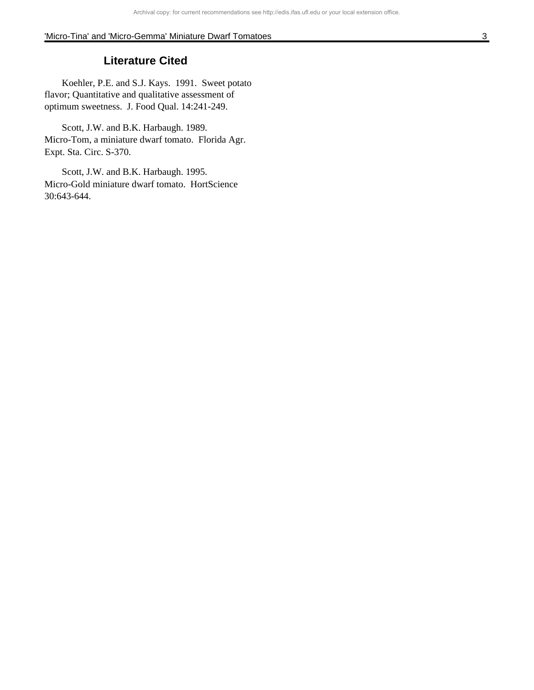# **Literature Cited**

Koehler, P.E. and S.J. Kays. 1991. Sweet potato flavor; Quantitative and qualitative assessment of optimum sweetness. J. Food Qual. 14:241-249.

Scott, J.W. and B.K. Harbaugh. 1989. Micro-Tom, a miniature dwarf tomato. Florida Agr. Expt. Sta. Circ. S-370.

Scott, J.W. and B.K. Harbaugh. 1995. Micro-Gold miniature dwarf tomato. HortScience 30:643-644.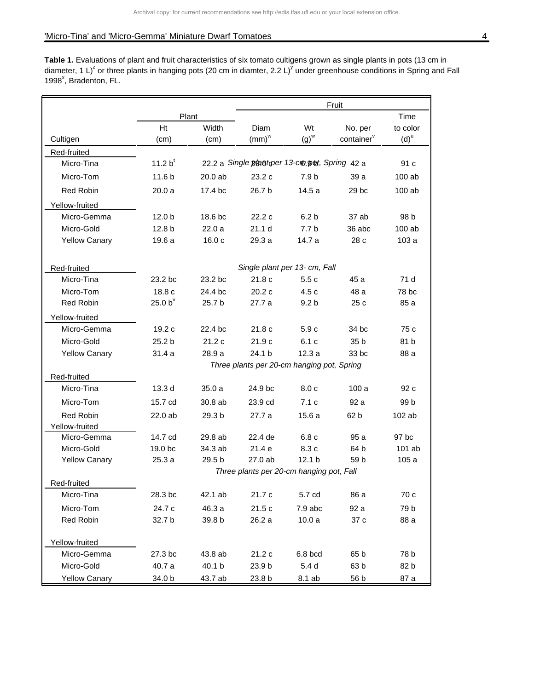Table 1. Evaluations of plant and fruit characteristics of six tomato cultigens grown as single plants in pots (13 cm in diameter, 1 L)<sup>2</sup> or three plants in hanging pots (20 cm in diamter, 2.2 L)<sup>y</sup> under greenhouse conditions in Spring and Fall 1998<sup>x</sup>, Bradenton, FL.

|                                    |                                                                                                             |         | Fruit                                         |                    |                        |                    |  |  |  |
|------------------------------------|-------------------------------------------------------------------------------------------------------------|---------|-----------------------------------------------|--------------------|------------------------|--------------------|--|--|--|
|                                    | Plant                                                                                                       |         |                                               |                    | Time                   |                    |  |  |  |
|                                    | Ht                                                                                                          | Width   | Diam                                          | Wt                 | No. per                | to color           |  |  |  |
| Cultigen                           | (cm)                                                                                                        | (cm)    | $(mm)^{w}$                                    | $(g)$ <sup>w</sup> | container <sup>v</sup> | $(d)$ <sup>u</sup> |  |  |  |
| Red-fruited                        |                                                                                                             |         |                                               |                    |                        |                    |  |  |  |
| Micro-Tina                         | 11.2 $b^t$                                                                                                  |         | 22.2 a Single plant to 13-cm pot, Spring 42 a |                    |                        | 91 c               |  |  |  |
| Micro-Tom                          | 11.6 <sub>b</sub>                                                                                           | 20.0 ab | 23.2c                                         | 7.9 b              | 39 a                   | 100 ab             |  |  |  |
| Red Robin                          | 20.0a                                                                                                       | 17.4 bc | 26.7 b                                        | 14.5a              | 29 bc                  | 100 ab             |  |  |  |
| Yellow-fruited                     |                                                                                                             |         |                                               |                    |                        |                    |  |  |  |
| Micro-Gemma                        | 12.0 <sub>b</sub>                                                                                           | 18.6 bc | 22.2c                                         | 6.2 <sub>b</sub>   | 37 ab                  | 98 b               |  |  |  |
| Micro-Gold                         | 12.8 <sub>b</sub>                                                                                           | 22.0a   | 21.1 <sub>d</sub>                             | 7.7 <sub>b</sub>   | 36 abc                 | 100 ab             |  |  |  |
| <b>Yellow Canary</b>               | 19.6a                                                                                                       | 16.0c   | 29.3 a                                        | 14.7 a             | 28 c                   | 103a               |  |  |  |
| Red-fruited                        | Single plant per 13- cm, Fall                                                                               |         |                                               |                    |                        |                    |  |  |  |
| Micro-Tina                         | 23.2 bc                                                                                                     | 23.2 bc | 21.8c                                         | 5.5c               | 45 a                   | 71 d               |  |  |  |
| Micro-Tom                          | 18.8c                                                                                                       | 24.4 bc | 20.2c                                         | 4.5c               | 48 a                   | 78 bc              |  |  |  |
| Red Robin                          | 25.0 $b^v$                                                                                                  | 25.7 b  | 27.7 a                                        | 9.2 <sub>b</sub>   | 25c                    | 85 a               |  |  |  |
| Yellow-fruited                     |                                                                                                             |         |                                               |                    |                        |                    |  |  |  |
| Micro-Gemma                        | 19.2c                                                                                                       | 22.4 bc | 21.8c                                         | 5.9c               | 34 bc                  | 75 c               |  |  |  |
| Micro-Gold                         | 25.2 <sub>b</sub>                                                                                           | 21.2c   | 21.9c                                         | 6.1c               | 35 <sub>b</sub>        | 81 b               |  |  |  |
| <b>Yellow Canary</b>               | 31.4a                                                                                                       | 28.9 a  | 24.1 b                                        | 12.3a              | 33 bc                  | 88 a               |  |  |  |
|                                    | Three plants per 20-cm hanging pot, Spring                                                                  |         |                                               |                    |                        |                    |  |  |  |
| Red-fruited                        |                                                                                                             |         |                                               |                    |                        |                    |  |  |  |
| Micro-Tina                         | 13.3 <sub>d</sub>                                                                                           | 35.0 a  | 24.9 bc                                       | 8.0c               | 100a                   | 92 c               |  |  |  |
| Micro-Tom                          | 15.7 cd                                                                                                     | 30.8 ab | 23.9 cd                                       | 7.1c               | 92 a                   | 99 b               |  |  |  |
| <b>Red Robin</b>                   | 22.0 ab                                                                                                     | 29.3 b  | 27.7 a                                        | 15.6 a             | 62 b                   | $102$ ab           |  |  |  |
| Yellow-fruited                     |                                                                                                             |         |                                               |                    |                        |                    |  |  |  |
| Micro-Gemma                        | 14.7 cd                                                                                                     | 29.8 ab | 22.4 de                                       | 6.8c               | 95 a                   | 97 bc              |  |  |  |
| Micro-Gold<br><b>Yellow Canary</b> | 19.0 <sub>bc</sub>                                                                                          | 34.3 ab | 21.4e                                         | 8.3 c              | 64 b                   | 101 ab             |  |  |  |
|                                    | 27.0 ab<br>25.3a<br>29.5 b<br>12.1 <sub>b</sub><br>59 b<br>105a<br>Three plants per 20-cm hanging pot, Fall |         |                                               |                    |                        |                    |  |  |  |
| Red-fruited                        |                                                                                                             |         |                                               |                    |                        |                    |  |  |  |
| Micro-Tina                         | 28.3 bc                                                                                                     | 42.1 ab | 21.7 c                                        | 5.7 cd             | 86 a                   | 70 c               |  |  |  |
| Micro-Tom                          | 24.7 c                                                                                                      | 46.3 a  | 21.5 c                                        | 7.9 abc            | 92 a                   | 79 b               |  |  |  |
| Red Robin                          | 32.7 b                                                                                                      | 39.8 b  | 26.2 a                                        | 10.0a              | 37 c                   | 88 a               |  |  |  |
| Yellow-fruited                     |                                                                                                             |         |                                               |                    |                        |                    |  |  |  |
| Micro-Gemma                        | 27.3 bc                                                                                                     | 43.8 ab | 21.2 c                                        | 6.8 bcd            | 65 b                   | 78 b               |  |  |  |
| Micro-Gold                         | 40.7 a                                                                                                      | 40.1 b  | 23.9 b                                        | 5.4 <sub>d</sub>   | 63 b                   | 82 b               |  |  |  |
| <b>Yellow Canary</b>               | 34.0 b                                                                                                      | 43.7 ab | 23.8 b                                        | 8.1 ab             | 56 b                   | 87 a               |  |  |  |